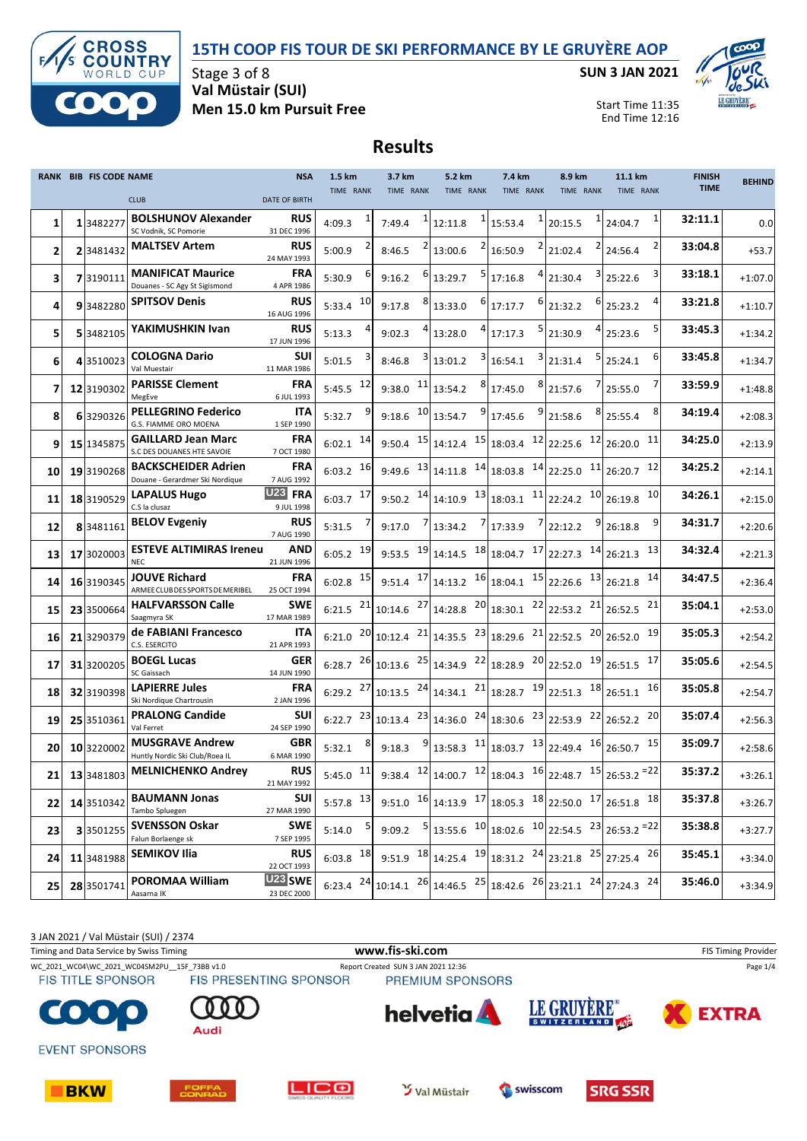### **15TH COOP FIS TOUR DE SKI PERFORMANCE BY LE GRUYÈRE AOP**



Stage 3 of 8 **Val Müstair (SUI) Men 15.0 km Pursuit Free** **SUN 3 JAN 2021**



Start Time 11:35 End Time 12:16

# **Results**

|    | RANK BIB FIS CODE NAME |                                                               | <b>NSA</b>                        | 1.5 km        |    | 3.7 km       |    | 5.2 km    |   | 7.4 km                                                                                                  |   | 8.9 km    |   | 11.1 km                                                                           |           | <b>FINISH</b> | <b>BEHIND</b> |
|----|------------------------|---------------------------------------------------------------|-----------------------------------|---------------|----|--------------|----|-----------|---|---------------------------------------------------------------------------------------------------------|---|-----------|---|-----------------------------------------------------------------------------------|-----------|---------------|---------------|
|    |                        | <b>CLUB</b>                                                   | <b>DATE OF BIRTH</b>              | TIME RANK     |    | TIME RANK    |    | TIME RANK |   | TIME RANK                                                                                               |   | TIME RANK |   | TIME RANK                                                                         |           | <b>TIME</b>   |               |
| 1  | 13482277               | <b>BOLSHUNOV Alexander</b><br>SC Vodnik, SC Pomorie           | <b>RUS</b><br>31 DEC 1996         | 4:09.3        |    | 7:49.4       |    | 12:11.8   |   | 15:53.4                                                                                                 |   | 20:15.5   |   | 1 24:04.7                                                                         | 1         | 32:11.1       | 0.0           |
| 2  | 2 3481432              | <b>MALTSEV Artem</b>                                          | <b>RUS</b><br>24 MAY 1993         | 5:00.9        |    | 8:46.5       |    | 13:00.6   |   | 16:50.9                                                                                                 |   | 21:02.4   |   | 2 24:56.4                                                                         |           | 33:04.8       | $+53.7$       |
| 3  | 7 3190111              | <b>MANIFICAT Maurice</b><br>Douanes - SC Agy St Sigismond     | FRA<br>4 APR 1986                 | 5:30.9        |    | 9:16.2       |    | 13:29.7   | 5 | 17:16.8                                                                                                 |   | 21:30.4   |   | 3 25:22.6                                                                         | 3         | 33:18.1       | $+1:07.0$     |
| 4  | 93482280               | <b>SPITSOV Denis</b>                                          | <b>RUS</b><br>16 AUG 1996         | 5:33.4        | 10 | 9:17.8       | 8  | 13:33.0   |   | 17:17.7                                                                                                 |   | 21:32.2   |   | $6$ 25:23.2                                                                       |           | 33:21.8       | $+1:10.7$     |
| 5  | 5 3482105              | YAKIMUSHKIN Ivan                                              | <b>RUS</b><br>17 JUN 1996         | 5:13.3        |    | 9:02.3       |    | 13:28.0   |   | 17:17.3                                                                                                 |   | 21:30.9   | 4 | 25:23.6                                                                           |           | 33:45.3       | $+1:34.2$     |
| 6  | 4 3510023              | <b>COLOGNA Dario</b><br>Val Muestair                          | SUI<br>11 MAR 1986                | 5:01.5        |    | 8:46.8       |    | 13:01.2   |   | 16:54.1                                                                                                 |   | 21:31.4   | 5 | 25:24.1                                                                           | 6         | 33:45.8       | $+1:34.7$     |
| 7  | 12 3190302             | <b>PARISSE Clement</b><br>MegEve                              | FRA<br>6 JUL 1993                 | 5:45.5        | 12 | 9:38.0       | 11 | 13:54.2   | 8 | 17:45.0                                                                                                 | 8 | 21:57.6   |   | $7$   25:55.0                                                                     |           | 33:59.9       | $+1:48.8$     |
| 8  | 6 3290326              | <b>PELLEGRINO Federico</b><br>G.S. FIAMME ORO MOENA           | ITA<br>1 SEP 1990                 | 5:32.7        |    | 9:18.6       | 10 | 13:54.7   | 9 | 17:45.6                                                                                                 | 9 | 21:58.6   |   | $8$ 25:55.4                                                                       | 8         | 34:19.4       | $+2:08.3$     |
| 9  | 15 1345875             | <b>GAILLARD Jean Marc</b><br>S.C DES DOUANES HTE SAVOIE       | FRA<br>7 OCT 1980                 | 6:02.1        | 14 |              |    |           |   | 9:50.4 $15 14:12.4$ $15 18:03.4$ $12 22:25.6$ $12 26:20.0$                                              |   |           |   |                                                                                   | 11        | 34:25.0       | $+2:13.9$     |
| 10 | 19 3190268             | <b>BACKSCHEIDER Adrien</b><br>Douane - Gerardmer Ski Nordique | <b>FRA</b><br>7 AUG 1992          | 6:03.2        | 16 |              |    |           |   | 9:49.6 $13 14:11.8$ $14 18:03.8$ $14 22:25.0$ $11 26:20.7$                                              |   |           |   |                                                                                   | 12        | 34:25.2       | $+2:14.1$     |
| 11 | 18 3190529             | LAPALUS Hugo<br>C.S la clusaz                                 | U <sub>23</sub> FRA<br>9 JUL 1998 | 6:03.7        | 17 | 9:50.2       | 14 |           |   | $14:10.9$ $13 \mid 18:03.1$ $11 \mid 22:24.2$ $10 \mid 26:19.8$                                         |   |           |   |                                                                                   | 10        | 34:26.1       | $+2:15.0$     |
| 12 | 83481161               | <b>BELOV Evgeniy</b>                                          | <b>RUS</b><br>7 AUG 1990          | 5:31.5        |    | 9:17.0       |    | 13:34.2   |   | 17:33.9                                                                                                 |   | 22:12.2   |   | $9$ 26:18.8                                                                       | 9         | 34:31.7       | $+2:20.6$     |
| 13 | 17 3020003             | <b>ESTEVE ALTIMIRAS Ireneu</b><br><b>NEC</b>                  | AND<br>21 JUN 1996                | 6:05.2        | 19 |              |    |           |   | 9:53.5 $^{19}$ 14:14.5 $^{18}$ 18:04.7 $^{17}$ 22:27.3 $^{14}$ 26:21.3                                  |   |           |   |                                                                                   | 13        | 34:32.4       | $+2:21.3$     |
| 14 | 16 3190345             | <b>JOUVE Richard</b><br>ARMEE CLUB DES SPORTS DE MERIBEL      | FRA<br>25 OCT 1994                | 6:02.8        | 15 | 9:51.4       |    |           |   | $17 14:13.2$ $16 18:04.1$ $15 22:26.6$ $13 26:21.8$                                                     |   |           |   |                                                                                   | <b>14</b> | 34:47.5       | $+2:36.4$     |
| 15 | 23 3500664             | <b>HALFVARSSON Calle</b><br>Saagmyra SK                       | SWE<br>17 MAR 1989                | 6:21.5        | 21 | $10:14.6$ 27 |    |           |   | $\left  \frac{14:28.8}{20} \right  18:30.1 \left  \frac{22}{22:53.2} \right  21 \left  26:52.5 \right $ |   |           |   |                                                                                   | 21        | 35:04.1       | $+2:53.0$     |
| 16 | 21 3290379             | de FABIANI Francesco<br>C.S. ESERCITO                         | ITA<br>21 APR 1993                | 6:21.0        |    |              |    |           |   | $20 10:12.4$ $21 14:35.5$ $23 18:29.6$ $21 22:52.5$ $20 26:52.0$                                        |   |           |   |                                                                                   | 19        | 35:05.3       | $+2:54.2$     |
| 17 | 31 3200205             | <b>BOEGL Lucas</b><br>SC Gaissach                             | GER<br>14 JUN 1990                | 6:28.7        |    |              |    |           |   | $^{26}$ 10:13.6 $^{25}$ 14:34.9 $^{22}$ 18:28.9 $^{20}$ 22:52.0 $^{19}$ 26:51.5                         |   |           |   |                                                                                   | 17        | 35:05.6       | $+2:54.5$     |
| 18 | 32 3190398             | <b>LAPIERRE Jules</b><br>Ski Nordique Chartrousin             | FRA<br>2 JAN 1996                 | 6:29.2        | 27 |              |    |           |   | $10:13.5$ $^{24}$ 14:34.1 $^{21}$ 18:28.7 $^{19}$ 22:51.3 $^{18}$ 26:51.1                               |   |           |   |                                                                                   | <b>16</b> | 35:05.8       | $+2:54.7$     |
| 19 | 25 3510361             | <b>PRALONG Candide</b><br>Val Ferret                          | SUI<br>24 SEP 1990                | 6:22.7        |    |              |    |           |   | $23 10:13.4$ $23 14:36.0$ $24 18:30.6$ $23 22:53.9$ $22 26:52.2$                                        |   |           |   |                                                                                   | 20        | 35:07.4       | $+2:56.3$     |
| 20 | 10 3220002             | <b>MUSGRAVE Andrew</b><br>Huntly Nordic Ski Club/Roea IL      | GBR<br>6 MAR 1990                 | 5:32.1        |    | 9:18.3       |    |           |   | $13:58.3$ $11$ 18:03.7 $13$ 22:49.4 $16$ 26:50.7                                                        |   |           |   |                                                                                   | 15        | 35:09.7       | $+2:58.6$     |
| 21 |                        | 13 3481803 MELNICHENKO Andrey                                 | <b>RUS</b><br>21 MAY 1992         | $5:45.0$ 11   |    |              |    |           |   |                                                                                                         |   |           |   | 9:38.4 $12   14:00.7 \t12   18:04.3 \t16   22:48.7 \t15   26:53.2 \t= 22$         |           | 35:37.2       | $+3:26.1$     |
| 22 | 14 3510342             | <b>BAUMANN Jonas</b><br>Tambo Spluegen                        | <b>SUI</b><br>27 MAR 1990         | $5:57.8$ 13   |    |              |    |           |   |                                                                                                         |   |           |   | 9:51.0 $16 14:13.9$ $17 18:05.3$ $18 22:50.0$ $17 26:51.8$ $18 $                  |           | 35:37.8       | $+3:26.7$     |
| 23 | 33501255               | <b>SVENSSON Oskar</b><br>Falun Borlaenge sk                   | <b>SWE</b><br>7 SEP 1995          | 5:14.0        |    | 9:09.2       |    |           |   |                                                                                                         |   |           |   | $5 13:55.6$ $10 18:02.6$ $10 22:54.5$ $23 26:53.2$ = 22                           |           | 35:38.8       | $+3:27.7$     |
| 24 | 11 3481988             | <b>SEMIKOV Ilia</b>                                           | <b>RUS</b><br>22 OCT 1993         | $6:03.8$ 18   |    |              |    |           |   |                                                                                                         |   |           |   | 9:51.9 $18 14:25.4$ $19 18:31.2$ $24 23:21.8$ $25 27:25.4$ $26 $                  |           | 35:45.1       | $+3:34.0$     |
| 25 | 28 3501741             | <b>POROMAA William</b><br>Aasarna IK                          | <b>U23 SWE</b><br>23 DEC 2000     | $6:23.4$ $24$ |    |              |    |           |   |                                                                                                         |   |           |   | $10:14.1$ $^{26}$ 14:46.5 $^{25}$ 18:42.6 $^{26}$ 23:21.1 $^{24}$ 27:24.3 $^{24}$ |           | 35:46.0       | $+3:34.9$     |

3 JAN 2021 / Val Müstair (SUI) / 2374 Timing and Data Service by Swiss Timing **WWW.fis-Ski.com www.fis-ski.com** FIS Timing Provider WC\_2021\_WC04\WC\_2021\_WC04SM2PU\_\_15F\_73BB v1.0 Report Created SUN 3 JAN 2021 12:36 Page 1/4<br>FIS TITLE SPONSOR FIS PRESENTING SPONSOR PREMIUM SPONSORS **FIS TITLE SPONSOR** LE GRUYÈRE® **helvetia**  $\bullet$ **EXTRA** SWITZERLAND Audi **EVENT SPONSORS LIC<sub>®</sub> 3** Val Müstair swisscom **BKW SRG SSR**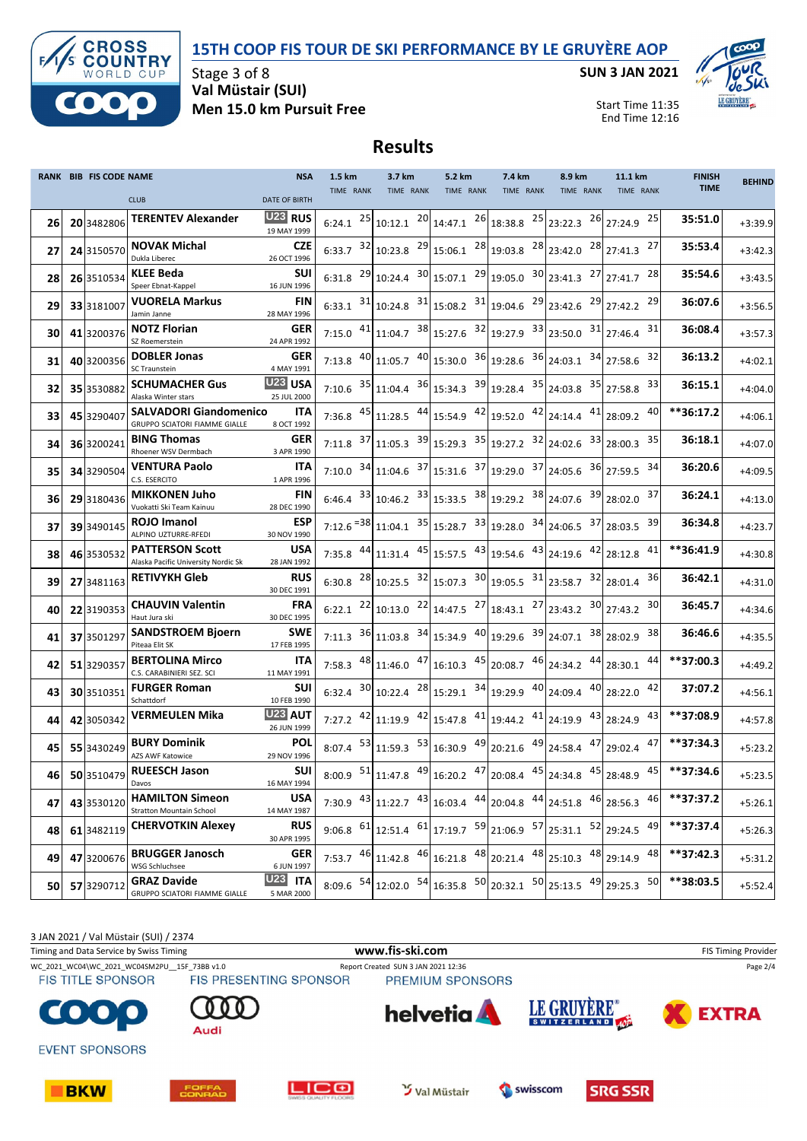### **15TH COOP FIS TOUR DE SKI PERFORMANCE BY LE GRUYÈRE AOP**



Stage 3 of 8 **Val Müstair (SUI) Men 15.0 km Pursuit Free** **SUN 3 JAN 2021**



Start Time 11:35 End Time 12:16

# **Results**

|    | RANK BIB FIS CODE NAME |                                                                | <b>NSA</b>                    | 1.5 km    | 3.7 km    | 5.2 km    | 7.4 km                                                                                                                                                                                                                                                                                                     | 8.9 km    | 11.1 km   | <b>FINISH</b> | <b>BEHIND</b> |
|----|------------------------|----------------------------------------------------------------|-------------------------------|-----------|-----------|-----------|------------------------------------------------------------------------------------------------------------------------------------------------------------------------------------------------------------------------------------------------------------------------------------------------------------|-----------|-----------|---------------|---------------|
|    |                        | <b>CLUB</b>                                                    | <b>DATE OF BIRTH</b>          | TIME RANK | TIME RANK | TIME RANK | TIME RANK                                                                                                                                                                                                                                                                                                  | TIME RANK | TIME RANK | <b>TIME</b>   |               |
| 26 | 20 3482806             | <b>TERENTEV Alexander</b>                                      | <b>U23 RUS</b><br>19 MAY 1999 |           |           |           | $6:24.1$ $25 10:12.1$ $20 14:47.1$ $26 18:38.8$ $25 23:22.3$ $26 27:24.9$                                                                                                                                                                                                                                  |           | 25        | 35:51.0       | $+3:39.9$     |
| 27 | 24 3150570             | <b>NOVAK Michal</b><br>Dukla Liberec                           | CZE<br>26 OCT 1996            |           |           |           | 6:33.7 $32 10:23.8$ $29 15:06.1$ $28 19:03.8$ $28 23:42.0$ $28 27:41.3$                                                                                                                                                                                                                                    |           | 27        | 35:53.4       | $+3:42.3$     |
| 28 | 26 3510534             | <b>KLEE Beda</b><br>Speer Ebnat-Kappel                         | SUI<br>16 JUN 1996            |           |           |           | 6:31.8 $^{29}$ 10:24.4 $^{30}$ 15:07.1 $^{29}$ 19:05.0 $^{30}$ 23:41.3 $^{27}$ 27:41.7                                                                                                                                                                                                                     |           | 28        | 35:54.6       | $+3:43.5$     |
| 29 | 33 3181007             | <b>VUORELA Markus</b><br>Jamin Janne                           | <b>FIN</b><br>28 MAY 1996     |           |           |           | 6:33.1 $31 \mid 10:24.8$ $31 \mid 15:08.2$ $31 \mid 19:04.6$ $29 \mid 23:42.6$ $29 \mid 27:42.2$                                                                                                                                                                                                           |           | 29        | 36:07.6       | $+3:56.5$     |
| 30 | 41 3200376             | <b>NOTZ Florian</b><br>SZ Roemerstein                          | GER<br>24 APR 1992            |           |           |           | 7:15.0 $41$ 11:04.7 $38$ 15:27.6 $32$ 19:27.9 $33$ 23:50.0 $31$ 27:46.4                                                                                                                                                                                                                                    |           | 31        | 36:08.4       | $+3:57.3$     |
| 31 | 40 3200356             | <b>DOBLER Jonas</b><br>SC Traunstein                           | GER<br>4 MAY 1991             |           |           |           | 7:13.8 $^{40}$ 11:05.7 $^{40}$ 15:30.0 $^{36}$ 19:28.6 $^{36}$ 24:03.1 $^{34}$ 27:58.6                                                                                                                                                                                                                     |           | 32        | 36:13.2       | $+4:02.1$     |
| 32 | 35 3530882             | <b>SCHUMACHER Gus</b><br>Alaska Winter stars                   | <u>U23</u> USA<br>25 JUL 2000 |           |           |           | 7:10.6 $35 11:04.4$ $36 15:34.3$ $39 19:28.4$ $35 24:03.8$ $35 27:58.8$                                                                                                                                                                                                                                    |           | 33        | 36:15.1       | $+4:04.0$     |
| 33 | 45 3290407             | <b>SALVADORI Giandomenico</b><br>GRUPPO SCIATORI FIAMME GIALLE | ITA<br>8 OCT 1992             |           |           |           | 7:36.8 $45$ 11:28.5 $44$ 15:54.9 $42$ 19:52.0 $42$ 24:14.4 $41$ 28:09.2                                                                                                                                                                                                                                    |           | 40        | **36:17.2     | $+4:06.1$     |
| 34 | 36 3200241             | <b>BING Thomas</b><br>Rhoener WSV Dermbach                     | GER<br>3 APR 1990             |           |           |           | 7:11.8 $37 11.05.3$ $39 15.29.3$ $35 19.27.2$ $32 24.02.6$ $33 28.00.3$                                                                                                                                                                                                                                    |           | 35        | 36:18.1       | $+4:07.0$     |
| 35 | 34 3290504             | <b>VENTURA Paolo</b><br>C.S. ESERCITO                          | ITA<br>1 APR 1996             |           |           |           | 7:10.0 $34 11:04.6$ $37 15:31.6$ $37 19:29.0$ $37 24:05.6$ $36 27:59.5$                                                                                                                                                                                                                                    |           | 34        | 36:20.6       | $+4:09.5$     |
| 36 | 29 3180436             | <b>MIKKONEN Juho</b><br>Vuokatti Ski Team Kainuu               | FIN<br>28 DEC 1990            |           |           |           | $6:46.4$ $33 10:46.2$ $33 15:33.5$ $38 19:29.2$ $38 24:07.6$ $39 28:02.0$                                                                                                                                                                                                                                  |           | 37        | 36:24.1       | $+4:13.0$     |
| 37 | 39 3490145             | <b>ROJO Imanol</b><br>ALPINO UZTURRE-RFEDI                     | ESP<br>30 NOV 1990            |           |           |           | 7:12.6 <sup>=38</sup> 11:04.1 <sup>35</sup> 15:28.7 <sup>33</sup> 19:28.0 <sup>34</sup> 24:06.5 <sup>37</sup> 28:03.5                                                                                                                                                                                      |           | 39        | 36:34.8       | $+4:23.7$     |
| 38 | 46 3530532             | <b>PATTERSON Scott</b><br>Alaska Pacific University Nordic Sk  | <b>USA</b><br>28 JAN 1992     |           |           |           | 7:35.8 $44 \mid 11:31.4$ $45 \mid 15:57.5$ $43 \mid 19:54.6$ $43 \mid 24:19.6$ $42 \mid 28:12.8$                                                                                                                                                                                                           |           | 41        | $**36:41.9$   | $+4:30.8$     |
| 39 | 27 3481163             | <b>RETIVYKH Gleb</b>                                           | <b>RUS</b><br>30 DEC 1991     |           |           |           | 6:30.8 $^{28}$ 10:25.5 $^{32}$ 15:07.3 $^{30}$ 19:05.5 $^{31}$ 23:58.7 $^{32}$ 28:01.4                                                                                                                                                                                                                     |           | 36        | 36:42.1       | $+4:31.0$     |
| 40 | 22 3190353             | <b>CHAUVIN Valentin</b><br>Haut Jura ski                       | <b>FRA</b><br>30 DEC 1995     |           |           |           | 6:22.1 $22 10:13.0$ $22 14:47.5$ $27 18:43.1$ $27 23:43.2$ $30 27:43.2$                                                                                                                                                                                                                                    |           | 30        | 36:45.7       | $+4:34.6$     |
| 41 | 37 3501297             | <b>SANDSTROEM Bjoern</b><br>Piteaa Elit SK                     | SWE<br>17 FEB 1995            |           |           |           | 7:11.3 $36 11:03.8$ $34 15:34.9$ $40 19:29.6$ $39 24:07.1$ $38 28:02.9$                                                                                                                                                                                                                                    |           | 38        | 36:46.6       | $+4:35.5$     |
| 42 | 51 3290357             | <b>BERTOLINA Mirco</b><br>C.S. CARABINIERI SEZ. SCI            | ITA<br>11 MAY 1991            |           |           |           | 7:58.3 $^{48}$ 11:46.0 $^{47}$ 16:10.3 $^{45}$ 20:08.7 $^{46}$ 24:34.2 $^{44}$ 28:30.1                                                                                                                                                                                                                     |           | 44        | **37:00.3     | $+4:49.2$     |
| 43 | 30 3510351             | <b>FURGER Roman</b><br>Schattdorf                              | SUI<br>10 FEB 1990            | 6:32.4    |           |           | $30 10:22.4$ $28 15:29.1$ $34 19:29.9$ $40 24:09.4$ $40 28:22.0$                                                                                                                                                                                                                                           |           | 42        | 37:07.2       | $+4:56.1$     |
| 44 | 42 3050342             | <b>VERMEULEN Mika</b>                                          | <b>U23 AUT</b><br>26 JUN 1999 |           |           |           | 7:27.2 $42 \mid 11:19.9$ $42 \mid 15:47.8$ $41 \mid 19:44.2$ $41 \mid 24:19.9$ $43 \mid 28:24.9$                                                                                                                                                                                                           |           | 43        | **37:08.9     | $+4:57.8$     |
| 45 | 55 3430249             | <b>BURY Dominik</b><br>AZS AWF Katowice                        | POL<br>29 NOV 1996            |           |           |           | 8:07.4 $^{53}$ 11:59.3 $^{53}$ 16:30.9 $^{49}$ 20:21.6 $^{49}$ 24:58.4 $^{47}$ 29:02.4 $^{47}$                                                                                                                                                                                                             |           |           | **37:34.3     | $+5:23.2$     |
| 46 |                        | 50 3510479 RUEESCH Jason<br>Davos                              | SUI<br>16 MAY 1994            |           |           |           | 8:00.9 $51$ 11:47.8 $49$ 16:20.2 $47$ 20:08.4 $45$ 24:34.8 $45$ 28:48.9 $45$ **37:34.6                                                                                                                                                                                                                     |           |           |               | $+5:23.5$     |
| 47 | 43 3530120             | <b>HAMILTON Simeon</b><br>Stratton Mountain School             | <b>USA</b><br>14 MAY 1987     |           |           |           | 7:30.9 $43 11:22.7$ $43 16:03.4$ $44 20:04.8$ $44 24:51.8$ $46 28:56.3$ $46 $                                                                                                                                                                                                                              |           |           | **37:37.2     | $+5:26.1$     |
| 48 | 61 3482119             | <b>CHERVOTKIN Alexey</b>                                       | <b>RUS</b><br>30 APR 1995     |           |           |           | 9:06.8 $\begin{bmatrix} 61 \\ 12 \\ 51.4 \end{bmatrix}$ $\begin{bmatrix} 61 \\ 17 \\ 19.7 \end{bmatrix}$ $\begin{bmatrix} 59 \\ 21 \\ 06.9 \end{bmatrix}$ $\begin{bmatrix} 57 \\ 25 \\ 31.1 \end{bmatrix}$ $\begin{bmatrix} 52 \\ 29 \\ 24.5 \end{bmatrix}$ $\begin{bmatrix} 49 \\ 49 \\ 51 \end{bmatrix}$ |           |           | **37:37.4     | $+5:26.3$     |
| 49 | 47 3200676             | <b>BRUGGER Janosch</b><br>WSG Schluchsee                       | <b>GER</b><br>6 JUN 1997      |           |           |           | 7:53.7 $^{46}$ 11:42.8 $^{46}$ 16:21.8 $^{48}$ 20:21.4 $^{48}$ 25:10.3 $^{48}$ 29:14.9 $^{48}$                                                                                                                                                                                                             |           |           | **37:42.3     | $+5:31.2$     |
| 50 | 57 3290712             | <b>GRAZ Davide</b><br>GRUPPO SCIATORI FIAMME GIALLE            | <b>U23 ITA</b><br>5 MAR 2000  |           |           |           | 8:09.6 $54 12:02.0$ $54 16:35.8$ $50 20:32.1$ $50 25:13.5$ $49 29:25.3$ $50 $                                                                                                                                                                                                                              |           |           | **38:03.5     | $+5:52.4$     |

3 JAN 2021 / Val Müstair (SUI) / 2374 Timing and Data Service by Swiss Timing **WWW.fis-Ski.com www.fis-ski.com** FIS Timing Provider WC\_2021\_WC04\WC\_2021\_WC04SM2PU\_\_15F\_73BB v1.0 Report Created SUN 3 JAN 2021 12:36 Page 2/4<br>FIS TITLE SPONSOR FIS PRESENTING SPONSOR PREMIUM SPONSORS **FIS TITLE SPONSOR** PREMIUM SPONSORS LE GRUYÈRE® **helvetia**  $\bullet$ **EXTRA** SWITZERLAND Audi **EVENT SPONSORS LIC<sub>®</sub> 3** Val Müstair swisscom **BKW SRG SSR**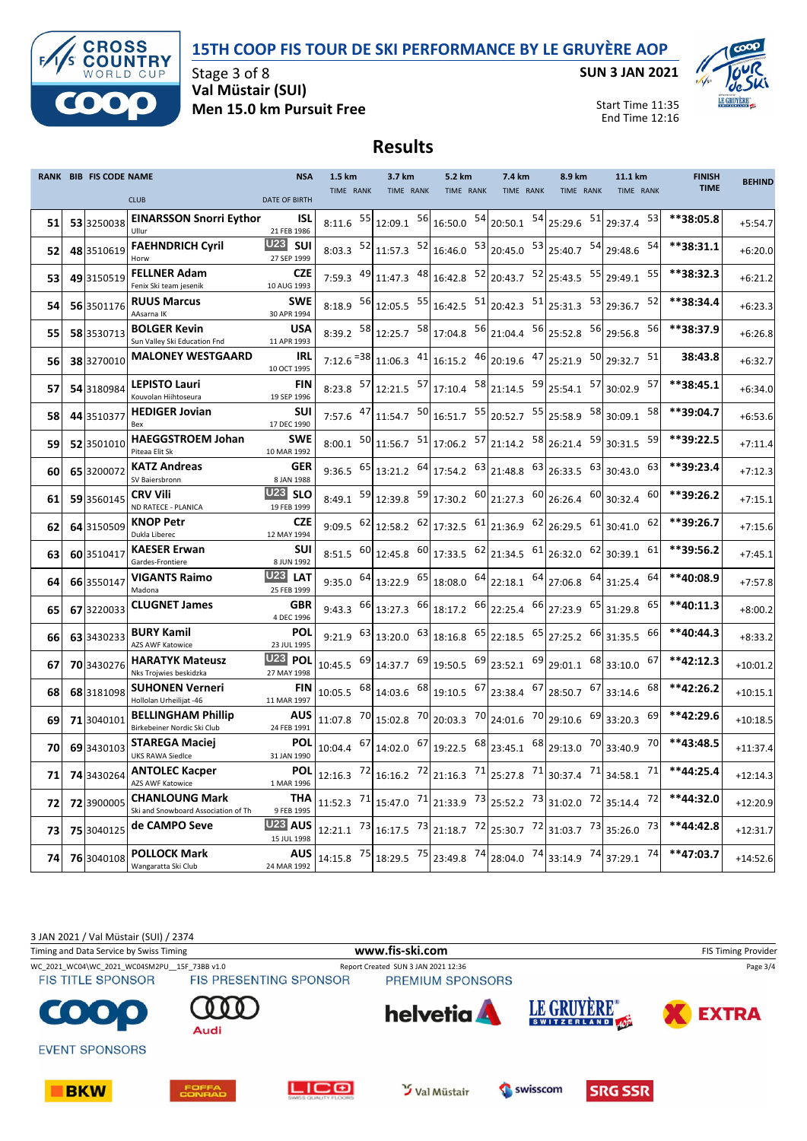### **15TH COOP FIS TOUR DE SKI PERFORMANCE BY LE GRUYÈRE AOP**



Stage 3 of 8 **Val Müstair (SUI) Men 15.0 km Pursuit Free** **SUN 3 JAN 2021**



Start Time 11:35 End Time 12:16

# **Results**

|    | RANK BIB FIS CODE NAME |                                                              | <b>NSA</b>                              | 1.5 km                |     | 3.7 km                                    |    | 5.2 km                |    | 7.4 km                                                                                                                               | 8.9 km                            | 11.1 km            | <b>FINISH</b> | <b>BEHIND</b> |
|----|------------------------|--------------------------------------------------------------|-----------------------------------------|-----------------------|-----|-------------------------------------------|----|-----------------------|----|--------------------------------------------------------------------------------------------------------------------------------------|-----------------------------------|--------------------|---------------|---------------|
|    |                        | <b>CLUB</b>                                                  | <b>DATE OF BIRTH</b>                    | TIME RANK             |     | TIME RANK                                 |    | TIME RANK             |    | TIME RANK                                                                                                                            | TIME RANK                         | TIME RANK          | <b>TIME</b>   |               |
| 51 | 53 3250038             | <b>EINARSSON Snorri Eythor</b><br>Ullur                      | <b>ISL</b><br>21 FEB 1986               | 8:11.6                | 55  | 12:09.1                                   | 56 | 16:50.0               | 54 | 20:50.1 54 25:29.6 51                                                                                                                |                                   | 53<br>29:37.4      | **38:05.8     | $+5:54.7$     |
| 52 | 48 3510619             | <b>FAEHNDRICH Cyril</b><br>Horw                              | <b>U23</b> SUI<br>27 SEP 1999           | 8:03.3                | 52  | 11:57.3 52                                |    | 16:46.0               | 53 |                                                                                                                                      | 20:45.0 53 25:40.7 54             | 54<br>29:48.6      | $**38:31.1$   | $+6:20.0$     |
| 53 | 49 3150519             | <b>FELLNER Adam</b><br>Fenix Ski team jesenik                | <b>CZE</b><br>10 AUG 1993               | 7:59.3                | 49  | 11:47.3                                   | 48 | 16:42.8 52            |    | 20:43.7 52 25:43.5 55                                                                                                                |                                   | 55<br>29:49.1      | **38:32.3     | $+6:21.2$     |
| 54 | 56 3501176             | <b>RUUS Marcus</b><br>AAsarna IK                             | <b>SWE</b><br>30 APR 1994               | 8:18.9                | 56  | 12:05.5 55                                |    | 16:42.5               | 51 |                                                                                                                                      | 20:42.3 $51$ 25:31.3 $53$ 29:36.7 | 52                 | **38:34.4     | $+6:23.3$     |
| 55 | 58 3530713             | <b>BOLGER Kevin</b><br>Sun Valley Ski Education Fnd          | <b>USA</b><br>11 APR 1993               | 8:39.2                | -58 | $12:25.7$ <sup>58</sup> 17:04.8           |    |                       | 56 | $21:04.4$ $56$ 25:52.8                                                                                                               |                                   | 56<br>56 29:56.8   | **38:37.9     | $+6:26.8$     |
| 56 | 38 3270010             | <b>MALONEY WESTGAARD</b>                                     | IRL<br>10 OCT 1995                      | $7:12.6 = 38$         |     | 11:06.3                                   | 41 | 16:15.2               | 46 | $20:19.6$ $47$ $25:21.9$                                                                                                             |                                   | 50 29:32.7<br>51   | 38:43.8       | $+6:32.7$     |
| 57 | 54 3180984             | <b>LEPISTO Lauri</b><br>Kouvolan Hiihtoseura                 | <b>FIN</b><br>19 SEP 1996               | $8:23.8$ 57           |     | $12:21.5$ <sup>57</sup> 17:10.4           |    |                       |    | $\begin{bmatrix} 58 \\ 21:14.5 \end{bmatrix}$ $\begin{bmatrix} 59 \\ 25:54.1 \end{bmatrix}$ $\begin{bmatrix} 57 \\ 57 \end{bmatrix}$ |                                   | 57<br>30:02.9      | **38:45.1     | $+6:34.0$     |
| 58 | 44 3510377             | <b>HEDIGER Jovian</b><br>Bex                                 | <b>SUI</b><br>17 DEC 1990               | 7:57.6                | 47  | 11:54.7                                   | 50 | 16:51.7               | 55 | 20:52.7                                                                                                                              | 55 25:58.9<br>58                  | 58<br>30:09.1      | **39:04.7     | $+6:53.6$     |
| 59 | 52 3501010             | <b>HAEGGSTROEM Johan</b><br>Piteaa Elit Sk                   | SWE<br>10 MAR 1992                      | 8:00.1                |     | $\frac{50}{11:56.7}$ $\frac{51}{17:06.2}$ |    |                       | 57 | $21:14.2$ $58$ $26:21.4$                                                                                                             | 59                                | 59<br>30:31.5      | $***39:22.5$  | $+7:11.4$     |
| 60 | 65 3200072             | <b>KATZ Andreas</b><br>SV Baiersbronn                        | <b>GER</b><br>8 JAN 1988                | 9:36.5                | 65  | $13:21.2$ $64$ 17:54.2                    |    |                       | 63 | $21:48.8$ $63$ $26:33.5$                                                                                                             | 63                                | 63<br>30:43.0      | **39:23.4     | $+7:12.3$     |
| 61 | 59 3560145             | <b>CRV Vili</b><br>ND RATECE - PLANICA                       | <b>U23 SLO</b><br>19 FEB 1999           | 8:49.1                | 59  |                                           |    |                       |    | $\begin{vmatrix} 12.39.8 & 59 \end{vmatrix}$ 17:30.2 $\begin{vmatrix} 60 & 21.27.3 & 60 \end{vmatrix}$ 26:26.4                       |                                   | $60$ 30:32.4<br>60 | **39:26.2     | $+7:15.1$     |
| 62 | 64 3150509             | <b>KNOP Petr</b><br>Dukla Liberec                            | <b>CZE</b><br>12 MAY 1994               | 9:09.5                | 62  |                                           |    | 12:58.2 62 17:32.5 61 |    | $21:36.9$ 62                                                                                                                         | 26:29.5 61                        | 62<br>30:41.0      | **39:26.7     | $+7:15.6$     |
| 63 | 60 3510417             | <b>KAESER Erwan</b><br>Gardes-Frontiere                      | <b>SUI</b><br>8 JUN 1992                | $8:51.5$ 60           |     |                                           |    | 12:45.8 60 17:33.5 62 |    | $21:34.5$ $61$ $26:32.0$ $62$ 30:39.1                                                                                                |                                   | 61                 | **39:56.2     | $+7:45.1$     |
| 64 | 66 3550147             | <b>VIGANTS Raimo</b><br>Madona                               | <b>U23</b><br><b>LAT</b><br>25 FEB 1999 | $9:35.0$ 64           |     | 13:22.9 65                                |    | 18:08.0 64            |    | $22:18.1$ 64                                                                                                                         | 27:06.8 64                        | 64<br>31:25.4      | **40:08.9     | $+7:57.8$     |
| 65 | 67 3220033             | <b>CLUGNET James</b>                                         | <b>GBR</b><br>4 DEC 1996                | 9:43.3                | 66  | 13:27.3 66                                |    | 18:17.2 66            |    | 22:25.4 66 27:23.9 65                                                                                                                |                                   | 65<br>31:29.8      | **40:11.3     | $+8:00.2$     |
| 66 | 63 3430233             | <b>BURY Kamil</b><br><b>AZS AWF Katowice</b>                 | POL<br>23 JUL 1995                      | $9:21.9$ 63           |     | 13:20.0 63                                |    | 18:16.8 65            |    | 22:18.5 65 27:25.2 66                                                                                                                |                                   | 66<br>31:35.5      | **40:44.3     | $+8:33.2$     |
| 67 | 70 3430276             | <b>HARATYK Mateusz</b><br>Nks Trojwies beskidzka             | <b>U23</b><br><b>POL</b><br>27 MAY 1998 | 10:45.5               | 69  | 14:37.7 69                                |    | 19:50.5 69            |    | $23:52.1$ $69$ $29:01.1$                                                                                                             | 68                                | 67<br>33:10.0      | $**42:12.3$   | $+10:01.2$    |
| 68 | 68 3181098             | <b>SUHONEN Verneri</b><br>Hollolan Urheilijat -46            | FIN<br>11 MAR 1997                      | 10:05.5               | 68  | 14:03.6                                   | 68 | 19:10.5 67            |    |                                                                                                                                      | 23:38.4 67 28:50.7 67             | 68<br>33:14.6      | $**42:26.2$   | $+10:15.1$    |
| 69 | 71 3040101             | <b>BELLINGHAM Phillip</b><br>Birkebeiner Nordic Ski Club     | <b>AUS</b><br>24 FEB 1991               | 11:07.8               | 70  | 15:02.8 70                                |    | 20:03.3               | 70 | 24:01.6 70 29:10.6 69                                                                                                                |                                   | 69<br>33:20.3      | **42:29.6     | $+10:18.5$    |
| 70 | 69 3430103             | <b>STAREGA Maciej</b><br><b>UKS RAWA Siedlce</b>             | <b>POL</b><br>31 JAN 1990               | 10:04.4               | 67  | 14:02.0 67                                |    | 19:22.5               | 68 |                                                                                                                                      | 23:45.1 68 29:13.0 70             | 70<br>33:40.9      | **43:48.5     | $+11:37.4$    |
| 71 | 74 3430264             | <b>ANTOLEC Kacper</b><br><b>AZS AWF Katowice</b>             | <b>POL</b><br>1 MAR 1996                | 12:16.3               | 72  | 16:16.2 72                                |    | 21:16.3 71            |    | 25:27.8 71 30:37.4 71                                                                                                                |                                   | 71<br>34:58.1      | **44:25.4     | $+12:14.3$    |
| 72 | 72 3900005             | <b>CHANLOUNG Mark</b><br>Ski and Snowboard Association of Th | <b>THA</b><br>9 FEB 1995                | 11:52.3 <sup>71</sup> |     |                                           |    | 15:47.0 71 21:33.9 73 |    | 25:52.2 73 31:02.0 72                                                                                                                |                                   | 72<br>35:14.4      | **44:32.0     | $+12:20.9$    |
| 73 | 75 3040125             | de CAMPO Seve                                                | U <sub>23</sub> AUS<br>15 JUL 1998      | 12:21.1               | 73  | 16:17.5 73                                |    | 21:18.7               | 72 | 25:30.7 72 31:03.7 73                                                                                                                |                                   | 73<br>35:26.0      | **44:42.8     | $+12:31.7$    |
| 74 | 76 3040108             | <b>POLLOCK Mark</b><br>Wangaratta Ski Club                   | <b>AUS</b><br>24 MAR 1992               | 14:15.8 75            |     | 18:29.5 75                                |    | 23:49.8 74            |    | 28:04.0 74 33:14.9 74                                                                                                                |                                   | 74<br>37:29.1      | **47:03.7     | $+14:52.6$    |